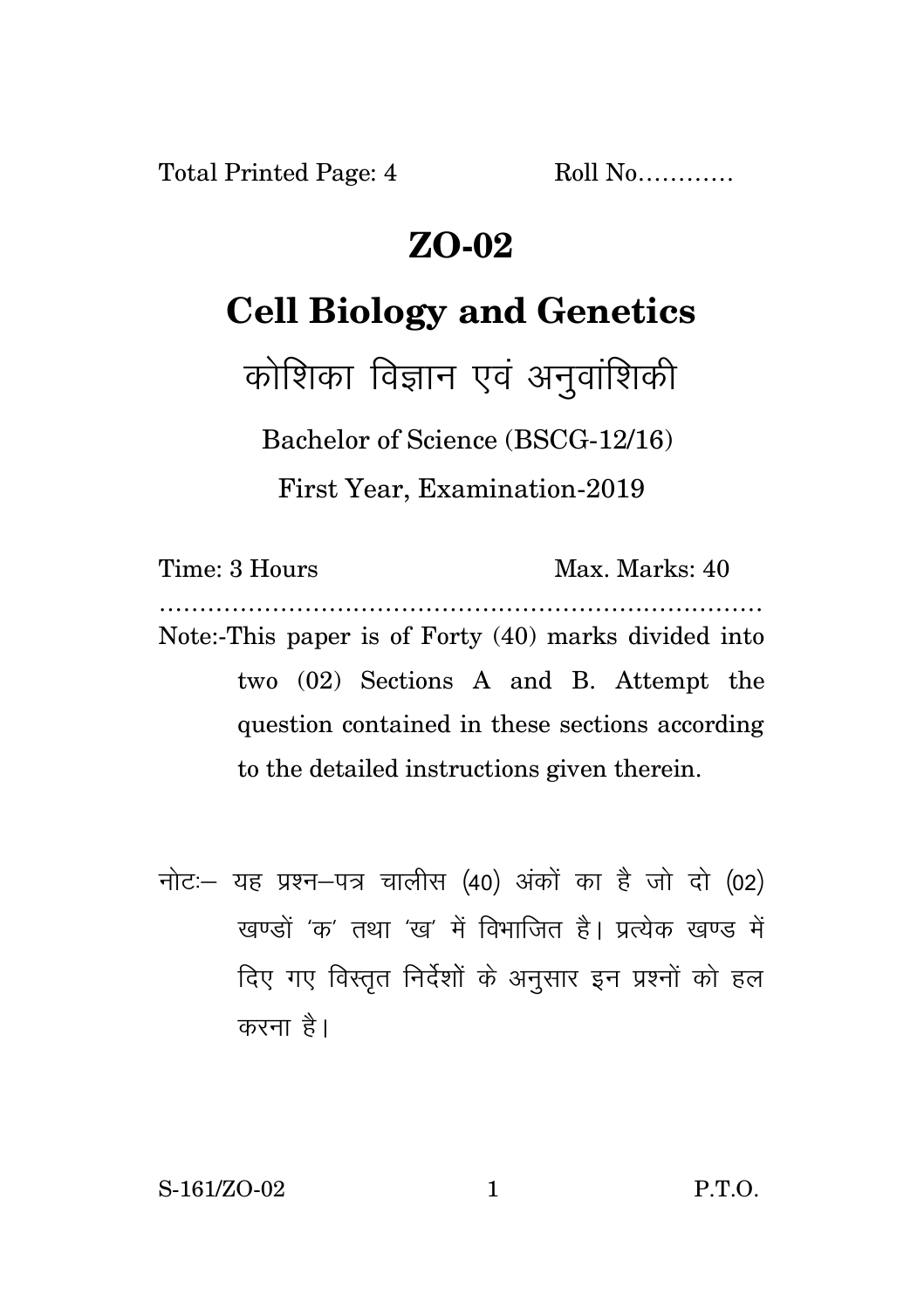Total Printed Page: 4 Roll No...........

## **ZO-02**

## **Cell Biology and Genetics**

कोशिका विज्ञान एवं अनुवाशिकी

Bachelor of Science (BSCG-12/16)

First Year, Examination-2019

Time: 3 Hours Max. Marks: 40 ………………………………………………………………… Note:-This paper is of Forty (40) marks divided into two (02) Sections A and B. Attempt the question contained in these sections according to the detailed instructions given therein.

नोट: यह प्रश्न-पत्र चालीस (40) अंकों का है जो दो (02) खण्डों *'क'* तथा 'ख' में विभाजित है। प्रत्येक खण्ड में दिए गए विस्तृत निर्देशों के अनुसार इन प्रश्नों को हल करना है।

S-161/ZO-02 1 P.T.O.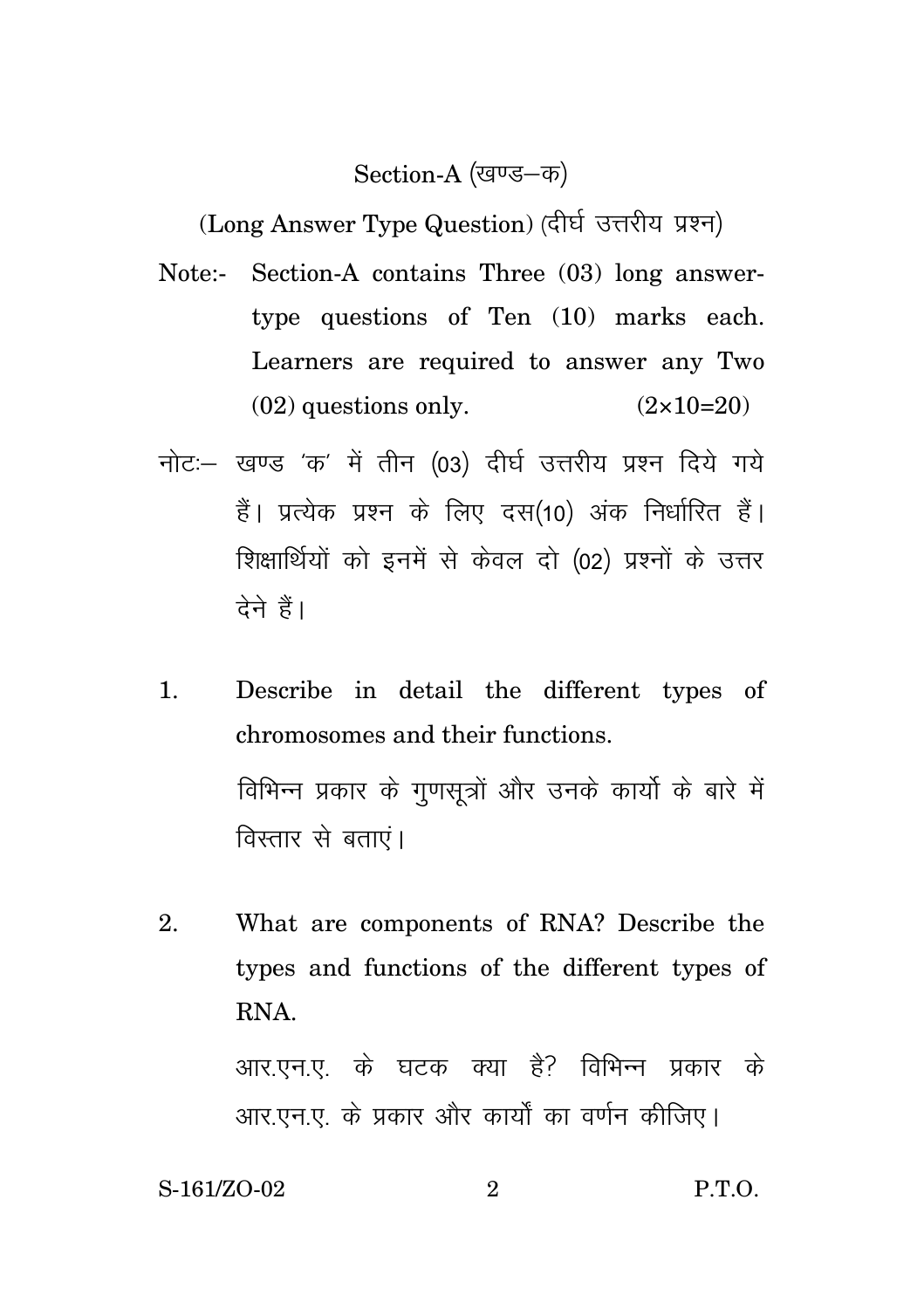Section-A (खण्ड–क)

(Long Answer Type Question) (दीर्घ उत्तरीय प्रश्न)

- Note:- Section-A contains Three (03) long answertype questions of Ten (10) marks each. Learners are required to answer any Two  $(02)$  questions only.  $(2 \times 10=20)$
- नोट: खण्ड 'क' में तीन (03) दीर्घ उत्तरीय प्रश्न दिये गये हैं। प्रत्येक प्रश्न के लिए दस(10) अंक निर्धारित हैं। शिक्षार्थियों को इनमें से केवल दो (02) प्रश्नों के उत्तर देने हैं।
- 1. Describe in detail the different types of chromosomes and their functions. विभिन्न प्रकार के गुणसूत्रों और उनके कार्यो के बारे में विस्तार से बताएं।
- 2. What are components of RNA? Describe the types and functions of the different types of RNA.

आर.एन.ए. के घटक क्या है? विभिन्न प्रकार के आर.एन.ए. के प्रकार और कार्यों का वर्णन कीजिए।

S-161/ZO-02 2 P.T.O.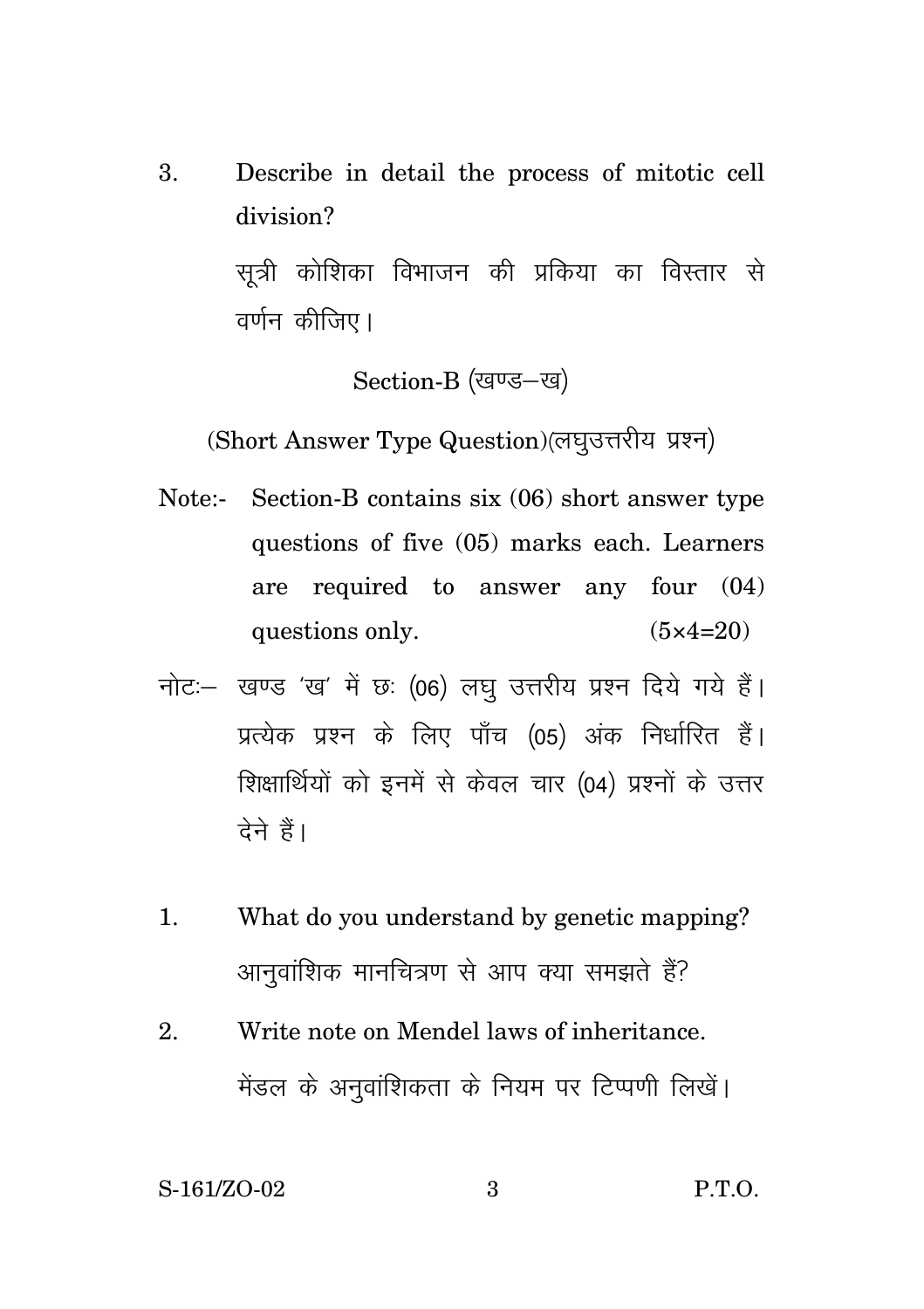3. Describe in detail the process of mitotic cell division?

> सूत्री कोशिका विभाजन की प्रकिया का विस्तार से वर्णन कीजिए।

> > Section-B (खण्ड-ख)

(Short Answer Type Question) (लघुउत्तरीय प्रश्न)

- Note:- Section-B contains six (06) short answer type questions of five (05) marks each. Learners are required to answer any four (04) questions only.  $(5 \times 4=20)$
- नोट: खण्ड 'ख' में छः (06) लघु उत्तरीय प्रश्न दिये गये हैं। प्रत्येक प्रश्न के लिए पाँच (05) अंक निर्धारित हैं। शिक्षार्थियों को इनमें से केवल चार (04) प्रश्नों के उत्तर देने हैं।
- 1. What do you understand by genetic mapping? आनुवांशिक मानचित्रण से आप क्या समझते हैं?
- 2. Write note on Mendel laws of inheritance. मेंडल के अनुवांशिकता के नियम पर टिप्पणी लिखें।